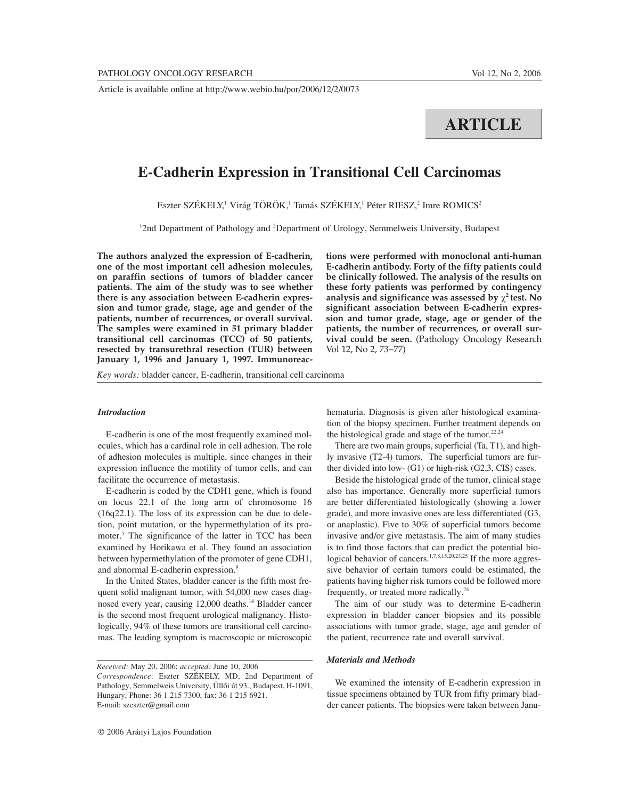Article is available online at http://www.webio.hu/por/2006/12/2/0073

# **ARTICLE**

## **E-Cadherin Expression in Transitional Cell Carcinomas**

Eszter SZÉKELY,<sup>1</sup> Virág TÖRÖK,<sup>1</sup> Tamás SZÉKELY,<sup>1</sup> Péter RIESZ,<sup>2</sup> Imre ROMICS<sup>2</sup>

<sup>1</sup>2nd Department of Pathology and <sup>2</sup>Department of Urology, Semmelweis University, Budapest

**The authors analyzed the expression of E-cadherin, one of the most important cell adhesion molecules, on paraffin sections of tumors of bladder cancer patients. The aim of the study was to see whether there is any association between E-cadherin expression and tumor grade, stage, age and gender of the patients, number of recurrences, or overall survival. The samples were examined in 51 primary bladder transitional cell carcinomas (TCC) of 50 patients, resected by transurethral resection (TUR) between January 1, 1996 and January 1, 1997. Immunoreac-** **tions were performed with monoclonal anti-human E-cadherin antibody. Forty of the fifty patients could be clinically followed. The analysis of the results on these forty patients was performed by contingency** analysis and significance was assessed by  $\chi^2$  test. No **significant association between E-cadherin expression and tumor grade, stage, age or gender of the patients, the number of recurrences, or overall survival could be seen.** (Pathology Oncology Research Vol 12, No 2, 73–77)

*Key words:* bladder cancer, E-cadherin, transitional cell carcinoma

#### *Introduction*

E-cadherin is one of the most frequently examined molecules, which has a cardinal role in cell adhesion. The role of adhesion molecules is multiple, since changes in their expression influence the motility of tumor cells, and can facilitate the occurrence of metastasis.

E-cadherin is coded by the CDH1 gene, which is found on locus 22.1 of the long arm of chromosome 16 (16q22.1). The loss of its expression can be due to deletion, point mutation, or the hypermethylation of its promoter.<sup>5</sup> The significance of the latter in TCC has been examined by Horikawa et al. They found an association between hypermethylation of the promoter of gene CDH1, and abnormal E-cadherin expression.<sup>9</sup>

In the United States, bladder cancer is the fifth most frequent solid malignant tumor, with 54,000 new cases diagnosed every year, causing 12,000 deaths.<sup>14</sup> Bladder cancer is the second most frequent urological malignancy. Histologically, 94% of these tumors are transitional cell carcinomas. The leading symptom is macroscopic or microscopic hematuria. Diagnosis is given after histological examination of the biopsy specimen. Further treatment depends on the histological grade and stage of the tumor. $22,24$ 

There are two main groups, superficial (Ta, T1), and highly invasive (T2-4) tumors. The superficial tumors are further divided into low- (G1) or high-risk (G2,3, CIS) cases.

Beside the histological grade of the tumor, clinical stage also has importance. Generally more superficial tumors are better differentiated histologically (showing a lower grade), and more invasive ones are less differentiated (G3, or anaplastic). Five to 30% of superficial tumors become invasive and/or give metastasis. The aim of many studies is to find those factors that can predict the potential biological behavior of cancers.<sup>1,7,8,15,20,23,25</sup> If the more aggressive behavior of certain tumors could be estimated, the patients having higher risk tumors could be followed more frequently, or treated more radically.24

The aim of our study was to determine E-cadherin expression in bladder cancer biopsies and its possible associations with tumor grade, stage, age and gender of the patient, recurrence rate and overall survival.

#### *Materials and Methods*

We examined the intensity of E-cadherin expression in tissue specimens obtained by TUR from fifty primary bladder cancer patients. The biopsies were taken between Janu-

*Received:* May 20, 2006; *accepted:* June 10, 2006 *Correspondence:* Eszter SZÉKELY, MD, 2nd Department of Pathology, Semmelweis University, Üllôi út 93., Budapest, H-1091, Hungary, Phone: 36 1 215 7300, fax: 36 1 215 6921. E-mail: szeszter@gmail.com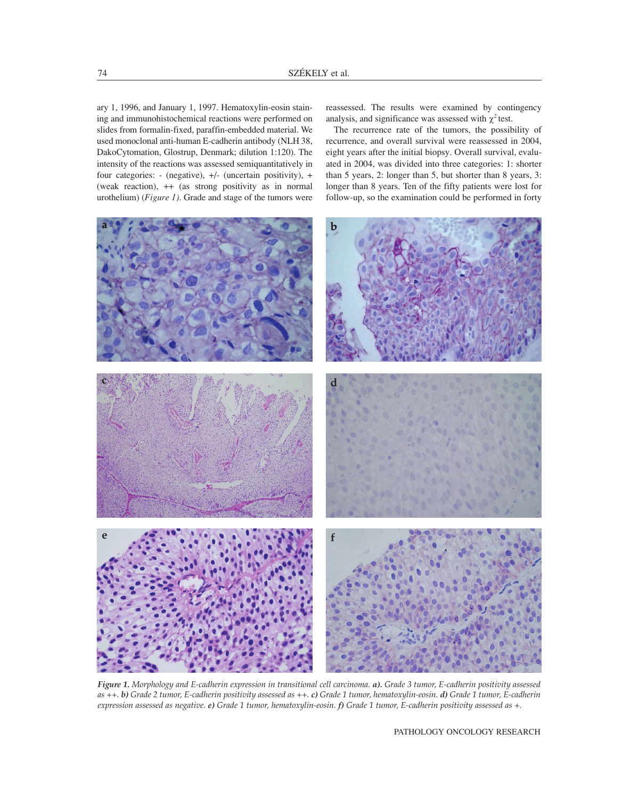ary 1, 1996, and January 1, 1997. Hematoxylin-eosin staining and immunohistochemical reactions were performed on slides from formalin-fixed, paraffin-embedded material. We used monoclonal anti-human E-cadherin antibody (NLH 38, DakoCytomation, Glostrup, Denmark; dilution 1:120). The intensity of the reactions was assessed semiquantitatively in four categories: - (negative), +/- (uncertain positivity), + (weak reaction), ++ (as strong positivity as in normal urothelium) (*Figure 1)*. Grade and stage of the tumors were

reassessed. The results were examined by contingency analysis, and significance was assessed with  $\chi^2$  test.

The recurrence rate of the tumors, the possibility of recurrence, and overall survival were reassessed in 2004, eight years after the initial biopsy. Overall survival, evaluated in 2004, was divided into three categories: 1: shorter than 5 years, 2: longer than 5, but shorter than 8 years, 3: longer than 8 years. Ten of the fifty patients were lost for follow-up, so the examination could be performed in forty



*Figure 1. Morphology and E-cadherin expression in transitional cell carcinoma. a). Grade 3 tumor, E-cadherin positivity assessed as ++. b) Grade 2 tumor, E-cadherin positivity assessed as ++. c) Grade 1 tumor, hematoxylin-eosin. d) Grade 1 tumor, E-cadherin expression assessed as negative. e) Grade 1 tumor, hematoxylin-eosin. f) Grade 1 tumor, E-cadherin positivity assessed as +.*

PATHOLOGY ONCOLOGY RESEARCH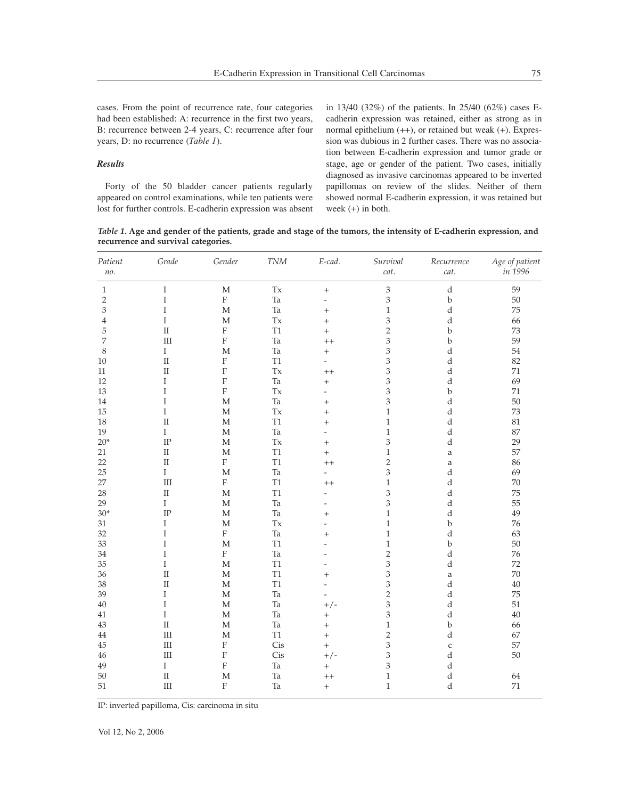cases. From the point of recurrence rate, four categories had been established: A: recurrence in the first two years, B: recurrence between 2-4 years, C: recurrence after four years, D: no recurrence (*Table 1*).

### *Results*

Forty of the 50 bladder cancer patients regularly appeared on control examinations, while ten patients were lost for further controls. E-cadherin expression was absent in 13/40 (32%) of the patients. In 25/40 (62%) cases Ecadherin expression was retained, either as strong as in normal epithelium (++), or retained but weak (+). Expression was dubious in 2 further cases. There was no association between E-cadherin expression and tumor grade or stage, age or gender of the patient. Two cases, initially diagnosed as invasive carcinomas appeared to be inverted papillomas on review of the slides. Neither of them showed normal E-cadherin expression, it was retained but week (+) in both.

*Table 1.* **Age and gender of the patients, grade and stage of the tumors, the intensity of E-cadherin expression, and recurrence and survival categories.** 

| Patient<br>$\emph{no}.$ | Grade     | Gender                    | $T\!N\!M$                  | E-cad.                   | Survival<br>cat. | Recurrence<br>cat. | Age of patient<br>in 1996 |
|-------------------------|-----------|---------------------------|----------------------------|--------------------------|------------------|--------------------|---------------------------|
| $\,1\,$                 | $\rm I$   | $\mathbf M$               | $\mathop{\rm Tx}\nolimits$ | $\boldsymbol{+}$         | 3                | $\rm d$            | 59                        |
| $\overline{2}$          | I         | $\rm F$                   | Ta                         | L.                       | 3                | $\rm b$            | 50                        |
| 3                       | I         | $\mathbf M$               | Ta                         | $^{+}$                   | $\mathbf 1$      | ${\rm d}$          | 75                        |
| 4                       | I         | $\mathbf M$               | $T{\bf x}$                 | $^{+}$                   | 3                | $\rm d$            | 66                        |
| 5                       | $\rm II$  | $\rm F$                   | T1                         | $^{+}$                   | $\overline{2}$   | $\mathbf b$        | 73                        |
| 7                       | $\rm III$ | $\rm F$                   | Ta                         | $^{++}$                  | 3                | $\mathbf b$        | 59                        |
| 8                       | $\rm I$   | M                         | Ta                         | $^{+}$                   | 3                | ${\rm d}$          | 54                        |
| 10                      | $\rm II$  | $\rm F$                   | T1                         | $\overline{\phantom{0}}$ | 3                | ${\rm d}$          | 82                        |
| 11                      | $\rm II$  | F                         | <b>T</b> <sub>x</sub>      | $^{++}$                  | 3                | d                  | 71                        |
| 12                      | I         | $\boldsymbol{\mathrm{F}}$ | Ta                         | $^{+}$                   | 3                | ${\rm d}$          | 69                        |
| 13                      | I         | ${\rm F}$                 | $\mathop{\text{\rm Tx}}$   | $\overline{a}$           | 3                | $\rm b$            | 71                        |
| 14                      | I         | $\mathbf M$               | Ta                         | $^{+}$                   | 3                | $\rm d$            | 50                        |
| 15                      | I         | $\mathbf M$               | $\mathop{\text{\rm Tx}}$   | $^{+}$                   | $\mathbf{1}$     | $\rm d$            | 73                        |
| 18                      | $\rm II$  | $\mathbf M$               | T1                         | $^{+}$                   | $\mathbf{1}$     | ${\rm d}$          | $81\,$                    |
| 19                      | Ι         | M                         | Ta                         | L.                       | $\mathbf{1}$     | d                  | 87                        |
| $20*$                   | $\rm IP$  | $\mathbf M$               | $\mathbf{Tx}$              | $\ddot{}$                | 3                | $\rm d$            | 29                        |
| 21                      | $\rm II$  | $\mathbf M$               | T1                         | $\ddot{}$                | $\mathbf 1$      | a                  | 57                        |
| 22                      | $\rm II$  | $\rm F$                   | <b>T1</b>                  | $^{++}$                  | 2                | a                  | 86                        |
| 25                      | $\rm I$   | $\mathbf M$               | Ta                         |                          | 3                | ${\rm d}$          | 69                        |
| 27                      | $\rm III$ | $\rm F$                   | T1                         | $++$                     | $\mathbf 1$      | $\rm d$            | 70                        |
| 28                      | $\rm II$  | $\mathbf M$               | T <sub>1</sub>             |                          | 3                | ${\rm d}$          | 75                        |
| 29                      | $\rm I$   | $\mathbf M$               | Ta                         | $\overline{a}$           | 3                | $\rm d$            | 55                        |
| $30*$                   | $\rm IP$  | $\mathbf M$               | Ta                         | $\ddot{}$                | $\mathbf{1}$     | ${\rm d}$          | 49                        |
| 31                      | I         | $\mathbf M$               | Tx                         | L,                       | $\mathbf{1}$     | $\mathbf b$        | 76                        |
| 32                      | I         | $\rm F$                   | Ta                         | $^{+}$                   | $\mathbf{1}$     | $\rm d$            | 63                        |
| 33                      | I         | $\mathbf{M}$              | T1                         |                          | $\mathbf{1}$     | $\mathbf b$        | 50                        |
| 34                      | I         | $\rm F$                   | Ta                         |                          | $\overline{2}$   | $\rm d$            | 76                        |
| 35                      | I         | $\mathbf M$               | T <sub>1</sub>             |                          | 3                | ${\rm d}$          | 72                        |
| 36                      | $\rm II$  | $\mathbf M$               | T1                         | $^{+}$                   | 3                | a                  | 70                        |
| 38                      | $\rm II$  | $\mathbf M$               | T1                         | ۳                        | 3                | ${\rm d}$          | 40                        |
| 39                      | I         | $\mathbf M$               | Ta                         |                          | $\overline{c}$   | $\rm d$            | 75                        |
| $40\,$                  | I         | $\mathbf M$               | Ta                         | $+/-$                    | 3                | ${\rm d}$          | 51                        |
| 41                      | $\rm I$   | $\mathbf M$               | Ta                         | $^{+}$                   | 3                | ${\rm d}$          | 40                        |
| 43                      | $\rm II$  | $\mathbf M$               | Ta                         | $\ddot{}$                | $\mathbf 1$      | $\mathbf b$        | 66                        |
| $44\,$                  | $\rm III$ | $\mathbf M$               | $\rm T1$                   | $^{+}$                   | $\overline{2}$   | ${\rm d}$          | 67                        |
| 45                      | $\rm III$ | $\rm F$                   | Cis                        | $^{+}$                   | 3                | $\mathsf C$        | 57                        |
| $46\,$                  | $\rm III$ | $\rm F$                   | Cis                        | $+/-$                    | 3                | ${\rm d}$          | 50                        |
| 49                      | $\rm I$   | $\rm F$                   | Ta                         | $\qquad \qquad +$        | 3                | $\rm d$            |                           |
| 50                      | $\rm II$  | M                         | Ta                         | $^{++}$                  | $\mathbf 1$      | ${\rm d}$          | 64                        |
| 51                      | $\rm III$ | $\rm F$                   | Ta                         | $^{+}$                   | $\mathbf{1}$     | d                  | $71\,$                    |

IP: inverted papilloma, Cis: carcinoma in situ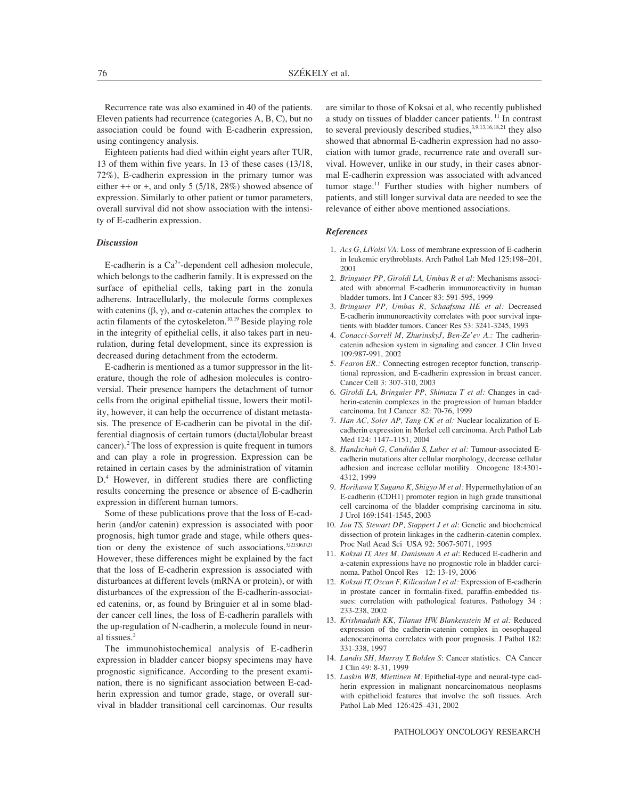Recurrence rate was also examined in 40 of the patients. Eleven patients had recurrence (categories A, B, C), but no association could be found with E-cadherin expression, using contingency analysis.

Eighteen patients had died within eight years after TUR, 13 of them within five years. In 13 of these cases (13/18, 72%), E-cadherin expression in the primary tumor was either ++ or +, and only 5 (5/18, 28%) showed absence of expression. Similarly to other patient or tumor parameters, overall survival did not show association with the intensity of E-cadherin expression.

#### *Discussion*

E-cadherin is a  $Ca<sup>2+</sup>$ -dependent cell adhesion molecule, which belongs to the cadherin family. It is expressed on the surface of epithelial cells, taking part in the zonula adherens. Intracellularly, the molecule forms complexes with catenins  $(\beta, \gamma)$ , and  $\alpha$ -catenin attaches the complex to actin filaments of the cytoskeleton.<sup>10,19</sup> Beside playing role in the integrity of epithelial cells, it also takes part in neurulation, during fetal development, since its expression is decreased during detachment from the ectoderm.

E-cadherin is mentioned as a tumor suppressor in the literature, though the role of adhesion molecules is controversial. Their presence hampers the detachment of tumor cells from the original epithelial tissue, lowers their motility, however, it can help the occurrence of distant metastasis. The presence of E-cadherin can be pivotal in the differential diagnosis of certain tumors (ductal/lobular breast cancer).<sup>2</sup> The loss of expression is quite frequent in tumors and can play a role in progression. Expression can be retained in certain cases by the administration of vitamin D.<sup>4</sup> However, in different studies there are conflicting results concerning the presence or absence of E-cadherin expression in different human tumors.

Some of these publications prove that the loss of E-cadherin (and/or catenin) expression is associated with poor prognosis, high tumor grade and stage, while others question or deny the existence of such associations.<sup>3,12,13,16,17,21</sup> However, these differences might be explained by the fact that the loss of E-cadherin expression is associated with disturbances at different levels (mRNA or protein), or with disturbances of the expression of the E-cadherin-associated catenins, or, as found by Bringuier et al in some bladder cancer cell lines, the loss of E-cadherin parallels with the up-regulation of N-cadherin, a molecule found in neural tissues.2

The immunohistochemical analysis of E-cadherin expression in bladder cancer biopsy specimens may have prognostic significance. According to the present examination, there is no significant association between E-cadherin expression and tumor grade, stage, or overall survival in bladder transitional cell carcinomas. Our results

are similar to those of Koksai et al, who recently published a study on tissues of bladder cancer patients. <sup>11</sup> In contrast to several previously described studies,<sup>3,9,13,16,18,21</sup> they also showed that abnormal E-cadherin expression had no association with tumor grade, recurrence rate and overall survival. However, unlike in our study, in their cases abnormal E-cadherin expression was associated with advanced tumor stage.<sup>11</sup> Further studies with higher numbers of patients, and still longer survival data are needed to see the relevance of either above mentioned associations.

#### *References*

- 1. *Acs G, LiVolsi VA:* Loss of membrane expression of E-cadherin in leukemic erythroblasts. Arch Pathol Lab Med 125:198–201, 2001
- 2. *Bringuier PP, Giroldi LA, Umbas R et al:* Mechanisms associated with abnormal E-cadherin immunoreactivity in human bladder tumors. Int J Cancer 83: 591-595, 1999
- 3. *Bringuier PP, Umbas R, Schaafsma HE et al:* Decreased E-cadherin immunoreactivity correlates with poor survival inpatients with bladder tumors. Cancer Res 53: 3241-3245, 1993
- 4. *Conacci-Sorrell M, ZhurinskyJ, Ben-Ze'ev A.:* The cadherincatenin adhesion system in signaling and cancer. J Clin Invest 109:987-991, 2002
- 5. *Fearon ER.:* Connecting estrogen receptor function, transcriptional repression, and E-cadherin expression in breast cancer. Cancer Cell 3: 307-310, 2003
- 6. *Giroldi LA, Bringuier PP, Shimazu T et al:* Changes in cadherin-catenin complexes in the progression of human bladder carcinoma. Int J Cancer 82: 70-76, 1999
- 7. *Han AC, Soler AP, Tang CK et al:* Nuclear localization of Ecadherin expression in Merkel cell carcinoma. Arch Pathol Lab Med 124: 1147–1151, 2004
- 8. *Handschuh G, Candidus S, Luber et al:* Tumour-associated Ecadherin mutations alter cellular morphology, decrease cellular adhesion and increase cellular motility Oncogene 18:4301- 4312, 1999
- 9. *Horikawa Y, Sugano K, Shigyo M et al:* Hypermethylation of an E-cadherin (CDH1) promoter region in high grade transitional cell carcinoma of the bladder comprising carcinoma in situ. J Urol 169:1541-1545, 2003
- 10. *Jou TS, Stewart DP, Stappert J et al*: Genetic and biochemical dissection of protein linkages in the cadherin-catenin complex. Proc Natl Acad Sci USA 92: 5067-5071, 1995
- 11. *Koksai IT, Ates M, Danisman A et al*: Reduced E-cadherin and a-catenin expressions have no prognostic role in bladder carcinoma. Pathol Oncol Res 12: 13-19, 2006
- 12. *Koksai IT, Ozcan F, Kilicaslan I et al:* Expression of E-cadherin in prostate cancer in formalin-fixed, paraffin-embedded tissues: correlation with pathological features. Pathology 34 : 233-238, 2002
- 13. *Krishnadath KK, Tilanus HW, Blankenstein M et al:* Reduced expression of the cadherin-catenin complex in oesophageal adenocarcinoma correlates with poor prognosis. J Pathol 182: 331-338, 1997
- 14. *Landis SH, Murray T, Bolden S*: Cancer statistics. CA Cancer J Clin 49: 8-31, 1999
- 15. *Laskin WB, Miettinen M:* Epithelial-type and neural-type cadherin expression in malignant noncarcinomatous neoplasms with epithelioid features that involve the soft tissues. Arch Pathol Lab Med 126:425–431, 2002